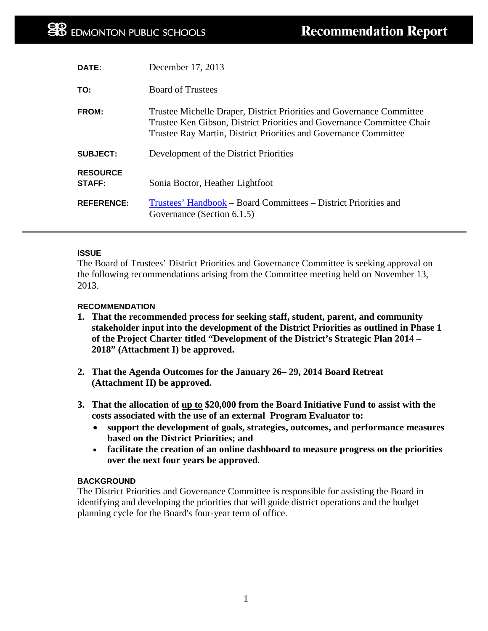| <b>DATE:</b>                     | December 17, 2013                                                                                                                                                                                                   |
|----------------------------------|---------------------------------------------------------------------------------------------------------------------------------------------------------------------------------------------------------------------|
| TO:                              | <b>Board of Trustees</b>                                                                                                                                                                                            |
| FROM:                            | Trustee Michelle Draper, District Priorities and Governance Committee<br>Trustee Ken Gibson, District Priorities and Governance Committee Chair<br>Trustee Ray Martin, District Priorities and Governance Committee |
| <b>SUBJECT:</b>                  | Development of the District Priorities                                                                                                                                                                              |
| <b>RESOURCE</b><br><b>STAFF:</b> | Sonia Boctor, Heather Lightfoot                                                                                                                                                                                     |
| <b>REFERENCE:</b>                | Trustees' Handbook – Board Committees – District Priorities and<br>Governance (Section 6.1.5)                                                                                                                       |

#### **ISSUE**

The Board of Trustees' District Priorities and Governance Committee is seeking approval on the following recommendations arising from the Committee meeting held on November 13, 2013.

#### **RECOMMENDATION**

- **1. That the recommended process for seeking staff, student, parent, and community stakeholder input into the development of the District Priorities as outlined in Phase 1 of the Project Charter titled "Development of the District's Strategic Plan 2014 – 2018" (Attachment I) be approved.**
- **2. That the Agenda Outcomes for the January 26– 29, 2014 Board Retreat (Attachment II) be approved.**
- **3. That the allocation of up to \$20,000 from the Board Initiative Fund to assist with the costs associated with the use of an external Program Evaluator to:**
	- **support the development of goals, strategies, outcomes, and performance measures based on the District Priorities; and**
	- **facilitate the creation of an online dashboard to measure progress on the priorities over the next four years be approved.**

#### **BACKGROUND**

The District Priorities and Governance Committee is responsible for assisting the Board in identifying and developing the priorities that will guide district operations and the budget planning cycle for the Board's four-year term of office.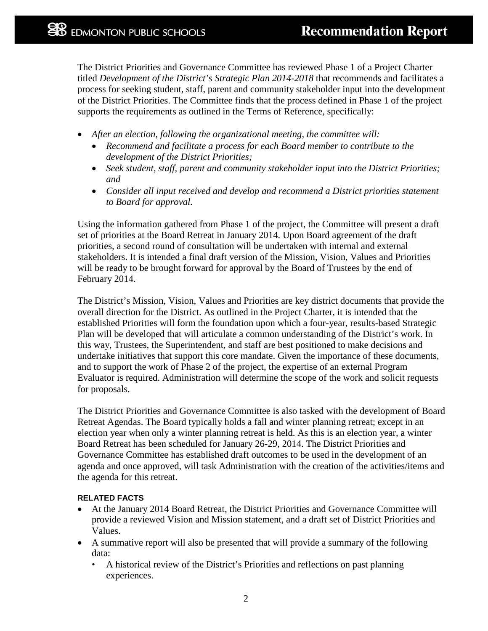The District Priorities and Governance Committee has reviewed Phase 1 of a Project Charter titled *Development of the District's Strategic Plan 2014-2018* that recommends and facilitates a process for seeking student, staff, parent and community stakeholder input into the development of the District Priorities. The Committee finds that the process defined in Phase 1 of the project supports the requirements as outlined in the Terms of Reference, specifically:

- *After an election, following the organizational meeting, the committee will:*
	- *Recommend and facilitate a process for each Board member to contribute to the development of the District Priorities;*
	- *Seek student, staff, parent and community stakeholder input into the District Priorities; and*
	- *Consider all input received and develop and recommend a District priorities statement to Board for approval.*

Using the information gathered from Phase 1 of the project, the Committee will present a draft set of priorities at the Board Retreat in January 2014. Upon Board agreement of the draft priorities, a second round of consultation will be undertaken with internal and external stakeholders. It is intended a final draft version of the Mission, Vision, Values and Priorities will be ready to be brought forward for approval by the Board of Trustees by the end of February 2014.

The District's Mission, Vision, Values and Priorities are key district documents that provide the overall direction for the District. As outlined in the Project Charter, it is intended that the established Priorities will form the foundation upon which a four-year, results-based Strategic Plan will be developed that will articulate a common understanding of the District's work. In this way, Trustees, the Superintendent, and staff are best positioned to make decisions and undertake initiatives that support this core mandate. Given the importance of these documents, and to support the work of Phase 2 of the project, the expertise of an external Program Evaluator is required. Administration will determine the scope of the work and solicit requests for proposals.

The District Priorities and Governance Committee is also tasked with the development of Board Retreat Agendas. The Board typically holds a fall and winter planning retreat; except in an election year when only a winter planning retreat is held. As this is an election year, a winter Board Retreat has been scheduled for January 26-29, 2014. The District Priorities and Governance Committee has established draft outcomes to be used in the development of an agenda and once approved, will task Administration with the creation of the activities/items and the agenda for this retreat.

#### **RELATED FACTS**

- At the January 2014 Board Retreat, the District Priorities and Governance Committee will provide a reviewed Vision and Mission statement, and a draft set of District Priorities and Values.
- A summative report will also be presented that will provide a summary of the following data:
	- A historical review of the District's Priorities and reflections on past planning experiences.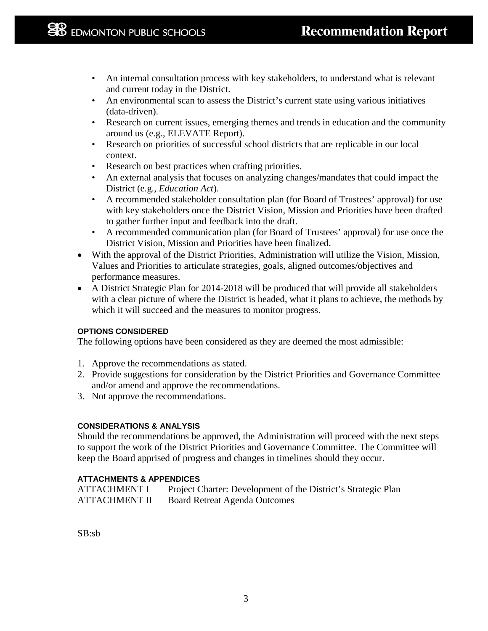- An internal consultation process with key stakeholders, to understand what is relevant and current today in the District.
- An environmental scan to assess the District's current state using various initiatives (data-driven).
- Research on current issues, emerging themes and trends in education and the community around us (e.g., ELEVATE Report).
- Research on priorities of successful school districts that are replicable in our local context.
- Research on best practices when crafting priorities.
- An external analysis that focuses on analyzing changes/mandates that could impact the District (e.g., *Education Act*).
- A recommended stakeholder consultation plan (for Board of Trustees' approval) for use with key stakeholders once the District Vision, Mission and Priorities have been drafted to gather further input and feedback into the draft.
- A recommended communication plan (for Board of Trustees' approval) for use once the District Vision, Mission and Priorities have been finalized.
- With the approval of the District Priorities, Administration will utilize the Vision, Mission, Values and Priorities to articulate strategies, goals, aligned outcomes/objectives and performance measures.
- A District Strategic Plan for 2014-2018 will be produced that will provide all stakeholders with a clear picture of where the District is headed, what it plans to achieve, the methods by which it will succeed and the measures to monitor progress.

### **OPTIONS CONSIDERED**

The following options have been considered as they are deemed the most admissible:

- 1. Approve the recommendations as stated.
- 2. Provide suggestions for consideration by the District Priorities and Governance Committee and/or amend and approve the recommendations.
- 3. Not approve the recommendations.

#### **CONSIDERATIONS & ANALYSIS**

Should the recommendations be approved, the Administration will proceed with the next steps to support the work of the District Priorities and Governance Committee. The Committee will keep the Board apprised of progress and changes in timelines should they occur.

### **ATTACHMENTS & APPENDICES**

ATTACHMENT I Project Charter: Development of the District's Strategic Plan ATTACHMENT II Board Retreat Agenda Outcomes

SB:sb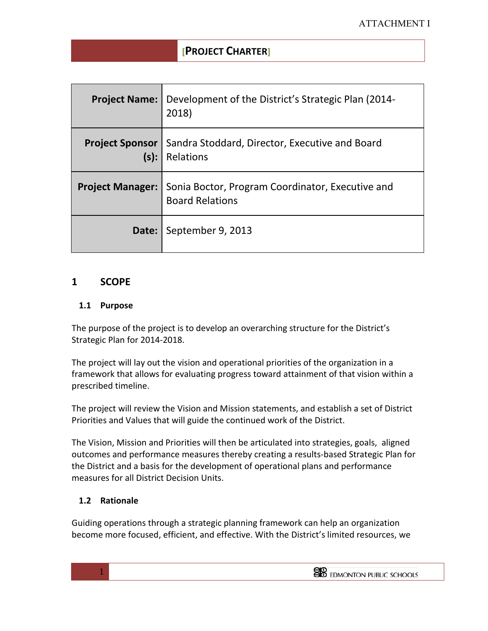|      | <b>Project Name:</b> Development of the District's Strategic Plan (2014-<br>2018)                    |
|------|------------------------------------------------------------------------------------------------------|
| (s): | <b>Project Sponsor</b>   Sandra Stoddard, Director, Executive and Board<br>Relations                 |
|      | <b>Project Manager:   Sonia Boctor, Program Coordinator, Executive and</b><br><b>Board Relations</b> |
|      | Date: September 9, 2013                                                                              |

## **1 SCOPE**

### **1.1 Purpose**

The purpose of the project is to develop an overarching structure for the District's Strategic Plan for 2014-2018.

The project will lay out the vision and operational priorities of the organization in a framework that allows for evaluating progress toward attainment of that vision within a prescribed timeline.

The project will review the Vision and Mission statements, and establish a set of District Priorities and Values that will guide the continued work of the District.

The Vision, Mission and Priorities will then be articulated into strategies, goals, aligned outcomes and performance measures thereby creating a results-based Strategic Plan for the District and a basis for the development of operational plans and performance measures for all District Decision Units.

### **1.2 Rationale**

 $1$ 

Guiding operations through a strategic planning framework can help an organization become more focused, efficient, and effective. With the District's limited resources, we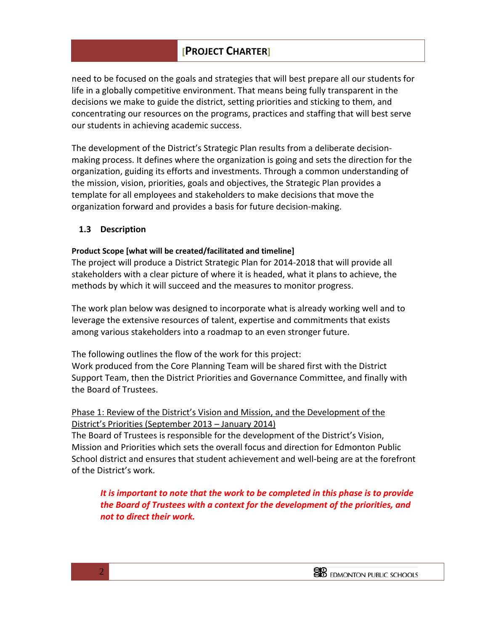need to be focused on the goals and strategies that will best prepare all our students for life in a globally competitive environment. That means being fully transparent in the decisions we make to guide the district, setting priorities and sticking to them, and concentrating our resources on the programs, practices and staffing that will best serve our students in achieving academic success.

The development of the District's Strategic Plan results from a deliberate decisionmaking process. It defines where the organization is going and sets the direction for the organization, guiding its efforts and investments. Through a common understanding of the mission, vision, priorities, goals and objectives, the Strategic Plan provides a template for all employees and stakeholders to make decisions that move the organization forward and provides a basis for future decision-making.

### **1.3 Description**

### **Product Scope [what will be created/facilitated and timeline]**

The project will produce a District Strategic Plan for 2014-2018 that will provide all stakeholders with a clear picture of where it is headed, what it plans to achieve, the methods by which it will succeed and the measures to monitor progress.

The work plan below was designed to incorporate what is already working well and to leverage the extensive resources of talent, expertise and commitments that exists among various stakeholders into a roadmap to an even stronger future.

The following outlines the flow of the work for this project:

 $2\frac{1}{2}$ 

Work produced from the Core Planning Team will be shared first with the District Support Team, then the District Priorities and Governance Committee, and finally with the Board of Trustees.

### Phase 1: Review of the District's Vision and Mission, and the Development of the District's Priorities (September 2013 – January 2014)

The Board of Trustees is responsible for the development of the District's Vision, Mission and Priorities which sets the overall focus and direction for Edmonton Public School district and ensures that student achievement and well-being are at the forefront of the District's work.

*It is important to note that the work to be completed in this phase is to provide the Board of Trustees with a context for the development of the priorities, and not to direct their work.*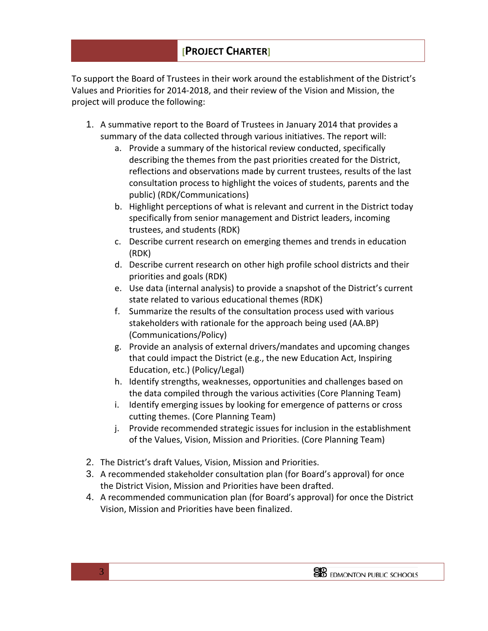To support the Board of Trustees in their work around the establishment of the District's Values and Priorities for 2014-2018, and their review of the Vision and Mission, the project will produce the following:

- 1. A summative report to the Board of Trustees in January 2014 that provides a summary of the data collected through various initiatives. The report will:
	- a. Provide a summary of the historical review conducted, specifically describing the themes from the past priorities created for the District, reflections and observations made by current trustees, results of the last consultation process to highlight the voices of students, parents and the public) (RDK/Communications)
	- b. Highlight perceptions of what is relevant and current in the District today specifically from senior management and District leaders, incoming trustees, and students (RDK)
	- c. Describe current research on emerging themes and trends in education (RDK)
	- d. Describe current research on other high profile school districts and their priorities and goals (RDK)
	- e. Use data (internal analysis) to provide a snapshot of the District's current state related to various educational themes (RDK)
	- f. Summarize the results of the consultation process used with various stakeholders with rationale for the approach being used (AA.BP) (Communications/Policy)
	- g. Provide an analysis of external drivers/mandates and upcoming changes that could impact the District (e.g., the new Education Act, Inspiring Education, etc.) (Policy/Legal)
	- h. Identify strengths, weaknesses, opportunities and challenges based on the data compiled through the various activities (Core Planning Team)
	- i. Identify emerging issues by looking for emergence of patterns or cross cutting themes. (Core Planning Team)
	- j. Provide recommended strategic issues for inclusion in the establishment of the Values, Vision, Mission and Priorities. (Core Planning Team)
- 2. The District's draft Values, Vision, Mission and Priorities.
- 3. A recommended stakeholder consultation plan (for Board's approval) for once the District Vision, Mission and Priorities have been drafted.
- 4. A recommended communication plan (for Board's approval) for once the District Vision, Mission and Priorities have been finalized.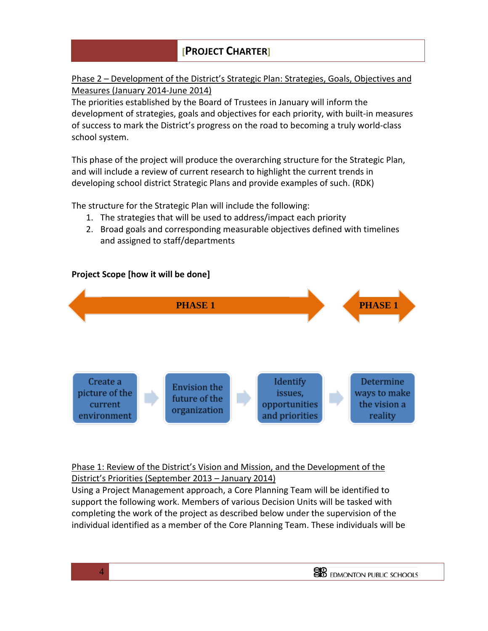## Phase 2 – Development of the District's Strategic Plan: Strategies, Goals, Objectives and Measures (January 2014-June 2014)

The priorities established by the Board of Trustees in January will inform the development of strategies, goals and objectives for each priority, with built-in measures of success to mark the District's progress on the road to becoming a truly world-class school system.

This phase of the project will produce the overarching structure for the Strategic Plan, and will include a review of current research to highlight the current trends in developing school district Strategic Plans and provide examples of such. (RDK)

The structure for the Strategic Plan will include the following:

- 1. The strategies that will be used to address/impact each priority
- 2. Broad goals and corresponding measurable objectives defined with timelines and assigned to staff/departments

# **Project Scope [how it will be done]**



# Phase 1: Review of the District's Vision and Mission, and the Development of the

District's Priorities (September 2013 – January 2014) Using a Project Management approach, a Core Planning Team will be identified to

 $4<sup>1</sup>$ 

support the following work. Members of various Decision Units will be tasked with completing the work of the project as described below under the supervision of the individual identified as a member of the Core Planning Team. These individuals will be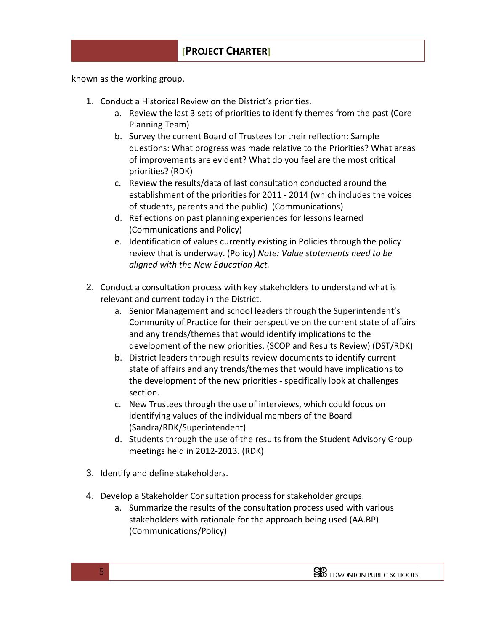known as the working group.

- 1. Conduct a Historical Review on the District's priorities.
	- a. Review the last 3 sets of priorities to identify themes from the past (Core Planning Team)
	- b. Survey the current Board of Trustees for their reflection: Sample questions: What progress was made relative to the Priorities? What areas of improvements are evident? What do you feel are the most critical priorities? (RDK)
	- c. Review the results/data of last consultation conducted around the establishment of the priorities for 2011 - 2014 (which includes the voices of students, parents and the public) (Communications)
	- d. Reflections on past planning experiences for lessons learned (Communications and Policy)
	- e. Identification of values currently existing in Policies through the policy review that is underway. (Policy) *Note: Value statements need to be aligned with the New Education Act.*
- 2. Conduct a consultation process with key stakeholders to understand what is relevant and current today in the District.
	- a. Senior Management and school leaders through the Superintendent's Community of Practice for their perspective on the current state of affairs and any trends/themes that would identify implications to the development of the new priorities. (SCOP and Results Review) (DST/RDK)
	- b. District leaders through results review documents to identify current state of affairs and any trends/themes that would have implications to the development of the new priorities - specifically look at challenges section.
	- c. New Trustees through the use of interviews, which could focus on identifying values of the individual members of the Board (Sandra/RDK/Superintendent)
	- d. Students through the use of the results from the Student Advisory Group meetings held in 2012-2013. (RDK)
- 3. Identify and define stakeholders.
- 4. Develop a Stakeholder Consultation process for stakeholder groups.
	- a. Summarize the results of the consultation process used with various stakeholders with rationale for the approach being used (AA.BP) (Communications/Policy)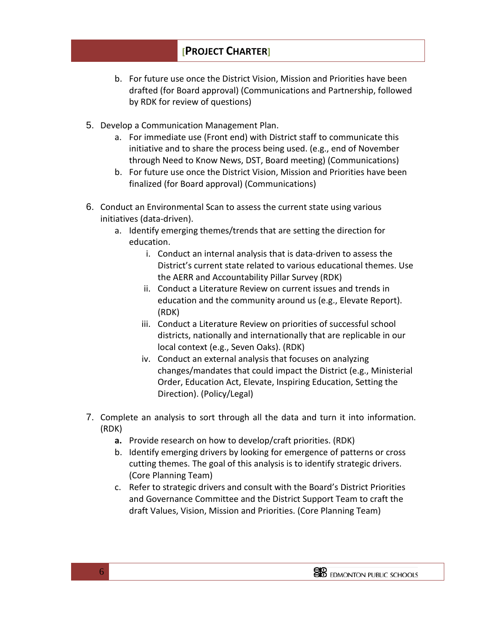- b. For future use once the District Vision, Mission and Priorities have been drafted (for Board approval) (Communications and Partnership, followed by RDK for review of questions)
- 5. Develop a Communication Management Plan.
	- a. For immediate use (Front end) with District staff to communicate this initiative and to share the process being used. (e.g., end of November through Need to Know News, DST, Board meeting) (Communications)
	- b. For future use once the District Vision, Mission and Priorities have been finalized (for Board approval) (Communications)
- 6. Conduct an Environmental Scan to assess the current state using various initiatives (data-driven).
	- a. Identify emerging themes/trends that are setting the direction for education.
		- i. Conduct an internal analysis that is data-driven to assess the District's current state related to various educational themes. Use the AERR and Accountability Pillar Survey (RDK)
		- ii. Conduct a Literature Review on current issues and trends in education and the community around us (e.g., Elevate Report). (RDK)
		- iii. Conduct a Literature Review on priorities of successful school districts, nationally and internationally that are replicable in our local context (e.g., Seven Oaks). (RDK)
		- iv. Conduct an external analysis that focuses on analyzing changes/mandates that could impact the District (e.g., Ministerial Order, Education Act, Elevate, Inspiring Education, Setting the Direction). (Policy/Legal)
- 7. Complete an analysis to sort through all the data and turn it into information. (RDK)
	- **a.** Provide research on how to develop/craft priorities. (RDK)
	- b. Identify emerging drivers by looking for emergence of patterns or cross cutting themes. The goal of this analysis is to identify strategic drivers. (Core Planning Team)
	- c. Refer to strategic drivers and consult with the Board's District Priorities and Governance Committee and the District Support Team to craft the draft Values, Vision, Mission and Priorities. (Core Planning Team)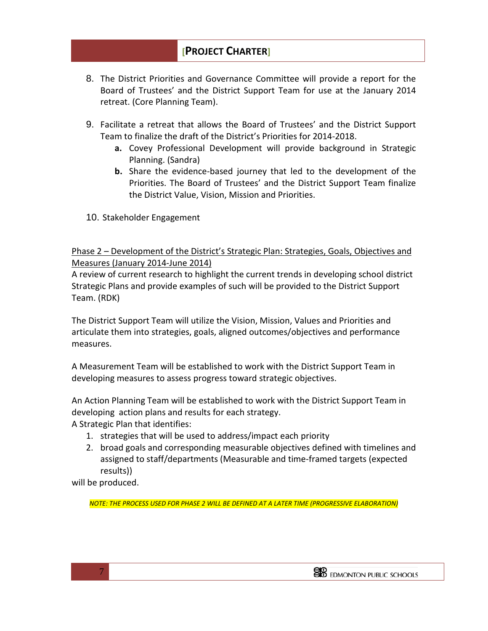- 8. The District Priorities and Governance Committee will provide a report for the Board of Trustees' and the District Support Team for use at the January 2014 retreat. (Core Planning Team).
- 9. Facilitate a retreat that allows the Board of Trustees' and the District Support Team to finalize the draft of the District's Priorities for 2014-2018.
	- **a.** Covey Professional Development will provide background in Strategic Planning. (Sandra)
	- **b.** Share the evidence-based journey that led to the development of the Priorities. The Board of Trustees' and the District Support Team finalize the District Value, Vision, Mission and Priorities.
- 10. Stakeholder Engagement

Phase 2 – Development of the District's Strategic Plan: Strategies, Goals, Objectives and Measures (January 2014-June 2014)

A review of current research to highlight the current trends in developing school district Strategic Plans and provide examples of such will be provided to the District Support Team. (RDK)

The District Support Team will utilize the Vision, Mission, Values and Priorities and articulate them into strategies, goals, aligned outcomes/objectives and performance measures.

A Measurement Team will be established to work with the District Support Team in developing measures to assess progress toward strategic objectives.

An Action Planning Team will be established to work with the District Support Team in developing action plans and results for each strategy. A Strategic Plan that identifies:

- 1. strategies that will be used to address/impact each priority
- 2. broad goals and corresponding measurable objectives defined with timelines and assigned to staff/departments (Measurable and time-framed targets (expected results))

will be produced.

*NOTE: THE PROCESS USED FOR PHASE 2 WILL BE DEFINED AT A LATER TIME (PROGRESSIVE ELABORATION)*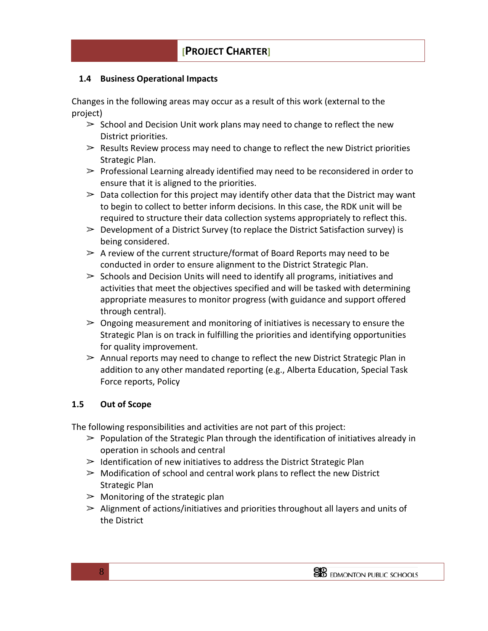### **1.4 Business Operational Impacts**

Changes in the following areas may occur as a result of this work (external to the project)

- $\geq$  School and Decision Unit work plans may need to change to reflect the new District priorities.
- $\geq$  Results Review process may need to change to reflect the new District priorities Strategic Plan.
- $\triangleright$  Professional Learning already identified may need to be reconsidered in order to ensure that it is aligned to the priorities.
- $\geq$  Data collection for this project may identify other data that the District may want to begin to collect to better inform decisions. In this case, the RDK unit will be required to structure their data collection systems appropriately to reflect this.
- $\geq$  Development of a District Survey (to replace the District Satisfaction survey) is being considered.
- $\geq$  A review of the current structure/format of Board Reports may need to be conducted in order to ensure alignment to the District Strategic Plan.
- $\geq$  Schools and Decision Units will need to identify all programs, initiatives and activities that meet the objectives specified and will be tasked with determining appropriate measures to monitor progress (with guidance and support offered through central).
- $\geq$  Ongoing measurement and monitoring of initiatives is necessary to ensure the Strategic Plan is on track in fulfilling the priorities and identifying opportunities for quality improvement.
- $\geq$  Annual reports may need to change to reflect the new District Strategic Plan in addition to any other mandated reporting (e.g., Alberta Education, Special Task Force reports, Policy

## **1.5 Out of Scope**

The following responsibilities and activities are not part of this project:

- $\geq$  Population of the Strategic Plan through the identification of initiatives already in operation in schools and central
- $\geq$  Identification of new initiatives to address the District Strategic Plan
- $\geq$  Modification of school and central work plans to reflect the new District Strategic Plan
- $\geq$  Monitoring of the strategic plan
- $\geq$  Alignment of actions/initiatives and priorities throughout all layers and units of the District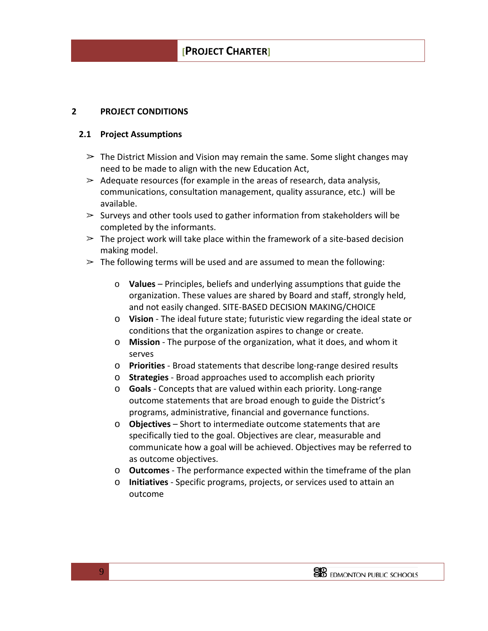### **2 PROJECT CONDITIONS**

### **2.1 Project Assumptions**

- $\geq$  The District Mission and Vision may remain the same. Some slight changes may need to be made to align with the new Education Act,
- $\geq$  Adequate resources (for example in the areas of research, data analysis, communications, consultation management, quality assurance, etc.) will be available.
- $\geq$  Surveys and other tools used to gather information from stakeholders will be completed by the informants.
- $\geq$  The project work will take place within the framework of a site-based decision making model.
- $\geq$  The following terms will be used and are assumed to mean the following:
	- o **Values**  Principles, beliefs and underlying assumptions that guide the organization. These values are shared by Board and staff, strongly held, and not easily changed. SITE-BASED DECISION MAKING/CHOICE
	- o **Vision**  The ideal future state; futuristic view regarding the ideal state or conditions that the organization aspires to change or create.
	- o **Mission**  The purpose of the organization, what it does, and whom it serves
	- o **Priorities**  Broad statements that describe long-range desired results
	- o **Strategies**  Broad approaches used to accomplish each priority
	- o **Goals**  Concepts that are valued within each priority. Long-range outcome statements that are broad enough to guide the District's programs, administrative, financial and governance functions.
	- o **Objectives**  Short to intermediate outcome statements that are specifically tied to the goal. Objectives are clear, measurable and communicate how a goal will be achieved. Objectives may be referred to as outcome objectives.
	- o **Outcomes**  The performance expected within the timeframe of the plan
	- o **Initiatives**  Specific programs, projects, or services used to attain an outcome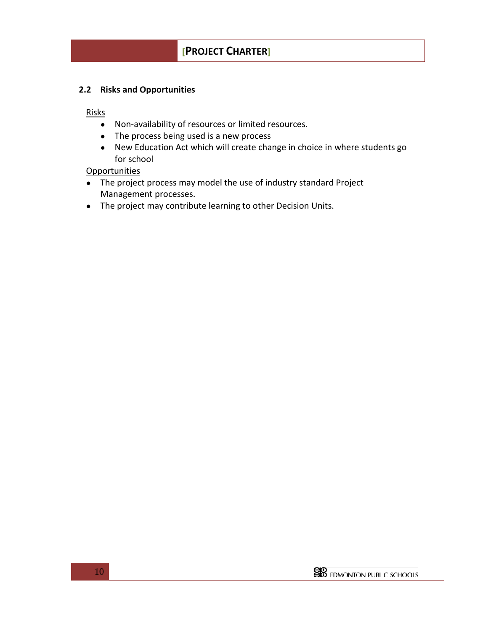### **2.2 Risks and Opportunities**

Risks

- Non-availability of resources or limited resources.
- The process being used is a new process
- New Education Act which will create change in choice in where students go for school

**Opportunities** 

- The project process may model the use of industry standard Project Management processes.
- The project may contribute learning to other Decision Units.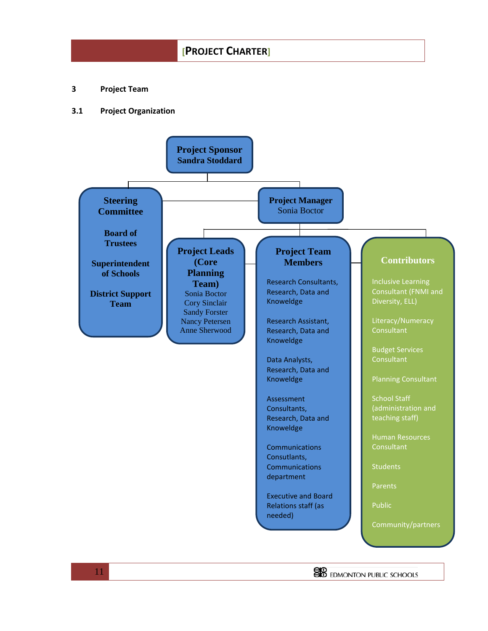**3 Project Team**

#### **3.1 Project Organization**

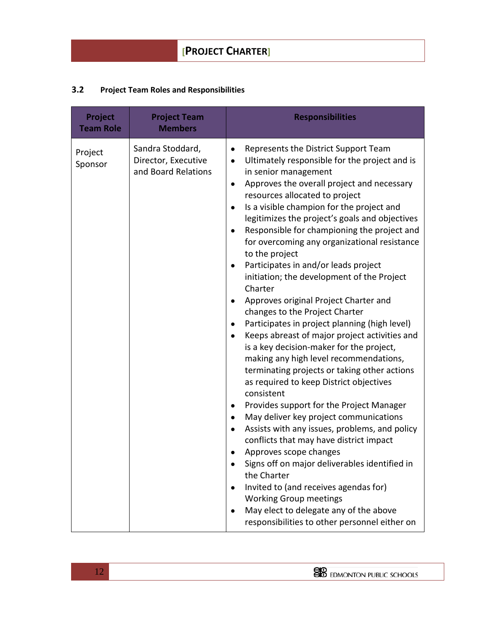## **3.2 Project Team Roles and Responsibilities**

| Project<br><b>Team Role</b> | <b>Project Team</b><br><b>Members</b>                          | <b>Responsibilities</b>                                                                                                                                                                                                                                                                                                                                                                                                                                                                                                                                                                                                                                                                                                                                                                                                                                                                                                                                                                                                                                                                                                                                                                                                                                                                                                                                                            |
|-----------------------------|----------------------------------------------------------------|------------------------------------------------------------------------------------------------------------------------------------------------------------------------------------------------------------------------------------------------------------------------------------------------------------------------------------------------------------------------------------------------------------------------------------------------------------------------------------------------------------------------------------------------------------------------------------------------------------------------------------------------------------------------------------------------------------------------------------------------------------------------------------------------------------------------------------------------------------------------------------------------------------------------------------------------------------------------------------------------------------------------------------------------------------------------------------------------------------------------------------------------------------------------------------------------------------------------------------------------------------------------------------------------------------------------------------------------------------------------------------|
| Project<br>Sponsor          | Sandra Stoddard,<br>Director, Executive<br>and Board Relations | Represents the District Support Team<br>$\bullet$<br>Ultimately responsible for the project and is<br>$\bullet$<br>in senior management<br>Approves the overall project and necessary<br>$\bullet$<br>resources allocated to project<br>Is a visible champion for the project and<br>legitimizes the project's goals and objectives<br>Responsible for championing the project and<br>for overcoming any organizational resistance<br>to the project<br>Participates in and/or leads project<br>initiation; the development of the Project<br>Charter<br>Approves original Project Charter and<br>changes to the Project Charter<br>Participates in project planning (high level)<br>Keeps abreast of major project activities and<br>is a key decision-maker for the project,<br>making any high level recommendations,<br>terminating projects or taking other actions<br>as required to keep District objectives<br>consistent<br>Provides support for the Project Manager<br>May deliver key project communications<br>Assists with any issues, problems, and policy<br>conflicts that may have district impact<br>Approves scope changes<br>Signs off on major deliverables identified in<br>the Charter<br>Invited to (and receives agendas for)<br><b>Working Group meetings</b><br>May elect to delegate any of the above<br>responsibilities to other personnel either on |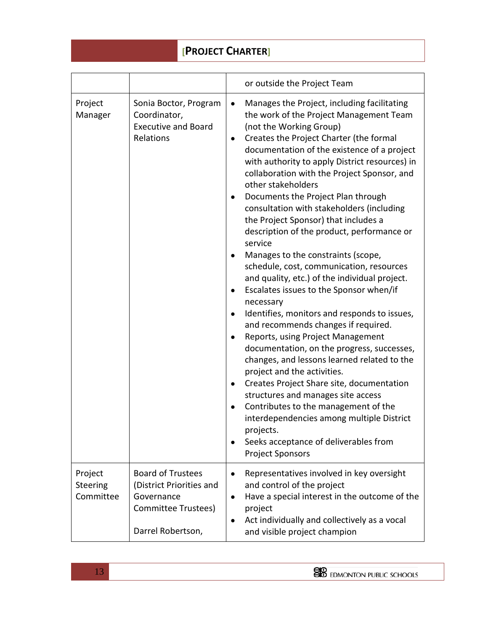|                                  |                                                                                                                | or outside the Project Team                                                                                                                                                                                                                                                                                                                                                                                                                                                                                                                                                                                                                                                                                                                                                                                                                                                                                                                                                                                                                                                                                                                                                                                                                                                                                                                |
|----------------------------------|----------------------------------------------------------------------------------------------------------------|--------------------------------------------------------------------------------------------------------------------------------------------------------------------------------------------------------------------------------------------------------------------------------------------------------------------------------------------------------------------------------------------------------------------------------------------------------------------------------------------------------------------------------------------------------------------------------------------------------------------------------------------------------------------------------------------------------------------------------------------------------------------------------------------------------------------------------------------------------------------------------------------------------------------------------------------------------------------------------------------------------------------------------------------------------------------------------------------------------------------------------------------------------------------------------------------------------------------------------------------------------------------------------------------------------------------------------------------|
| Project<br>Manager               | Sonia Boctor, Program<br>Coordinator,<br><b>Executive and Board</b><br>Relations                               | Manages the Project, including facilitating<br>$\bullet$<br>the work of the Project Management Team<br>(not the Working Group)<br>Creates the Project Charter (the formal<br>$\bullet$<br>documentation of the existence of a project<br>with authority to apply District resources) in<br>collaboration with the Project Sponsor, and<br>other stakeholders<br>Documents the Project Plan through<br>consultation with stakeholders (including<br>the Project Sponsor) that includes a<br>description of the product, performance or<br>service<br>Manages to the constraints (scope,<br>$\bullet$<br>schedule, cost, communication, resources<br>and quality, etc.) of the individual project.<br>Escalates issues to the Sponsor when/if<br>$\bullet$<br>necessary<br>Identifies, monitors and responds to issues,<br>$\bullet$<br>and recommends changes if required.<br>Reports, using Project Management<br>$\bullet$<br>documentation, on the progress, successes,<br>changes, and lessons learned related to the<br>project and the activities.<br>Creates Project Share site, documentation<br>$\bullet$<br>structures and manages site access<br>Contributes to the management of the<br>interdependencies among multiple District<br>projects.<br>Seeks acceptance of deliverables from<br>$\bullet$<br><b>Project Sponsors</b> |
| Project<br>Steering<br>Committee | <b>Board of Trustees</b><br>(District Priorities and<br>Governance<br>Committee Trustees)<br>Darrel Robertson, | Representatives involved in key oversight<br>$\bullet$<br>and control of the project<br>Have a special interest in the outcome of the<br>$\bullet$<br>project<br>Act individually and collectively as a vocal<br>$\bullet$<br>and visible project champion                                                                                                                                                                                                                                                                                                                                                                                                                                                                                                                                                                                                                                                                                                                                                                                                                                                                                                                                                                                                                                                                                 |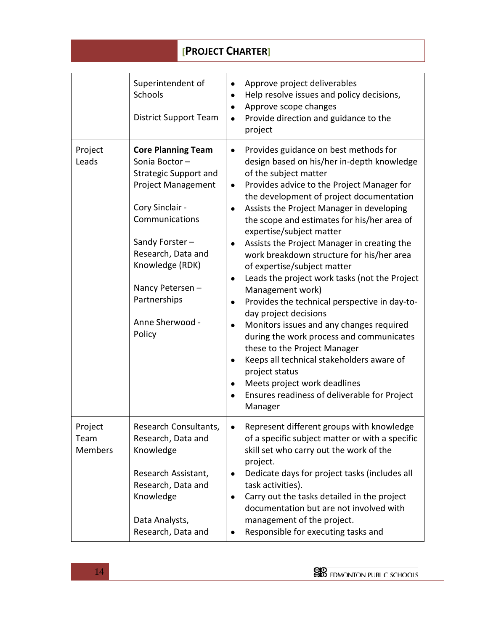|                                   | Superintendent of<br>Schools<br><b>District Support Team</b>                                                                                                                                                                                                            | Approve project deliverables<br>$\bullet$<br>Help resolve issues and policy decisions,<br>Approve scope changes<br>$\bullet$<br>Provide direction and guidance to the<br>$\bullet$<br>project                                                                                                                                                                                                                                                                                                                                                                                                                                                                                                                                                                                                                                                                                                                                                                            |
|-----------------------------------|-------------------------------------------------------------------------------------------------------------------------------------------------------------------------------------------------------------------------------------------------------------------------|--------------------------------------------------------------------------------------------------------------------------------------------------------------------------------------------------------------------------------------------------------------------------------------------------------------------------------------------------------------------------------------------------------------------------------------------------------------------------------------------------------------------------------------------------------------------------------------------------------------------------------------------------------------------------------------------------------------------------------------------------------------------------------------------------------------------------------------------------------------------------------------------------------------------------------------------------------------------------|
| Project<br>Leads                  | <b>Core Planning Team</b><br>Sonia Boctor-<br><b>Strategic Support and</b><br><b>Project Management</b><br>Cory Sinclair -<br>Communications<br>Sandy Forster-<br>Research, Data and<br>Knowledge (RDK)<br>Nancy Petersen-<br>Partnerships<br>Anne Sherwood -<br>Policy | Provides guidance on best methods for<br>$\bullet$<br>design based on his/her in-depth knowledge<br>of the subject matter<br>Provides advice to the Project Manager for<br>$\bullet$<br>the development of project documentation<br>Assists the Project Manager in developing<br>$\bullet$<br>the scope and estimates for his/her area of<br>expertise/subject matter<br>Assists the Project Manager in creating the<br>work breakdown structure for his/her area<br>of expertise/subject matter<br>Leads the project work tasks (not the Project<br>$\bullet$<br>Management work)<br>Provides the technical perspective in day-to-<br>$\bullet$<br>day project decisions<br>Monitors issues and any changes required<br>$\bullet$<br>during the work process and communicates<br>these to the Project Manager<br>Keeps all technical stakeholders aware of<br>project status<br>Meets project work deadlines<br>Ensures readiness of deliverable for Project<br>Manager |
| Project<br>Team<br><b>Members</b> | Research Consultants<br>Research, Data and<br>Knowledge<br>Research Assistant,<br>Research, Data and<br>Knowledge<br>Data Analysts,<br>Research, Data and                                                                                                               | Represent different groups with knowledge<br>of a specific subject matter or with a specific<br>skill set who carry out the work of the<br>project.<br>Dedicate days for project tasks (includes all<br>task activities).<br>Carry out the tasks detailed in the project<br>$\bullet$<br>documentation but are not involved with<br>management of the project.<br>Responsible for executing tasks and<br>$\bullet$                                                                                                                                                                                                                                                                                                                                                                                                                                                                                                                                                       |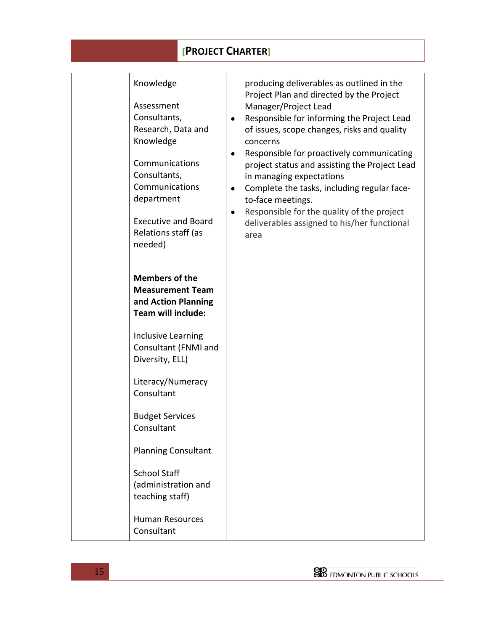| Knowledge<br>Assessment<br>Consultants,<br>Research, Data and<br>Knowledge<br>Communications<br>Consultants,<br>Communications<br>department<br><b>Executive and Board</b><br>Relations staff (as<br>needed) | $\bullet$<br>$\bullet$ | producing deliverables as outlined in the<br>Project Plan and directed by the Project<br>Manager/Project Lead<br>Responsible for informing the Project Lead<br>of issues, scope changes, risks and quality<br>concerns<br>Responsible for proactively communicating<br>project status and assisting the Project Lead<br>in managing expectations<br>Complete the tasks, including regular face-<br>to-face meetings.<br>Responsible for the quality of the project<br>deliverables assigned to his/her functional<br>area |
|--------------------------------------------------------------------------------------------------------------------------------------------------------------------------------------------------------------|------------------------|---------------------------------------------------------------------------------------------------------------------------------------------------------------------------------------------------------------------------------------------------------------------------------------------------------------------------------------------------------------------------------------------------------------------------------------------------------------------------------------------------------------------------|
| <b>Members of the</b><br><b>Measurement Team</b><br>and Action Planning<br>Team will include:                                                                                                                |                        |                                                                                                                                                                                                                                                                                                                                                                                                                                                                                                                           |
| Inclusive Learning<br>Consultant (FNMI and<br>Diversity, ELL)                                                                                                                                                |                        |                                                                                                                                                                                                                                                                                                                                                                                                                                                                                                                           |
| Literacy/Numeracy<br>Consultant                                                                                                                                                                              |                        |                                                                                                                                                                                                                                                                                                                                                                                                                                                                                                                           |
| <b>Budget Services</b><br>Consultant                                                                                                                                                                         |                        |                                                                                                                                                                                                                                                                                                                                                                                                                                                                                                                           |
| <b>Planning Consultant</b>                                                                                                                                                                                   |                        |                                                                                                                                                                                                                                                                                                                                                                                                                                                                                                                           |
| <b>School Staff</b><br>(administration and<br>teaching staff)                                                                                                                                                |                        |                                                                                                                                                                                                                                                                                                                                                                                                                                                                                                                           |
| <b>Human Resources</b><br>Consultant                                                                                                                                                                         |                        |                                                                                                                                                                                                                                                                                                                                                                                                                                                                                                                           |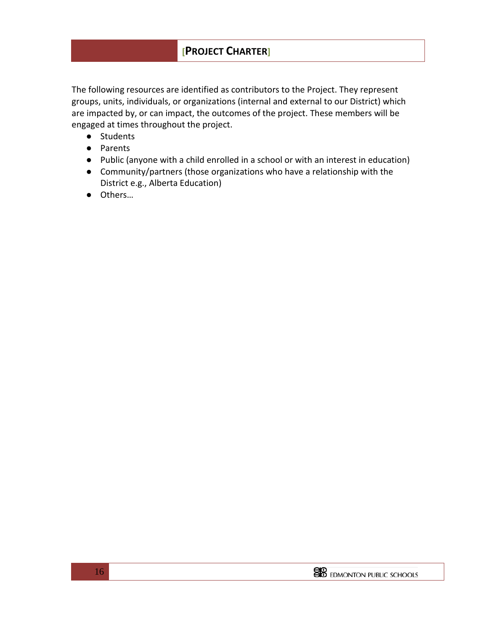The following resources are identified as contributors to the Project. They represent groups, units, individuals, or organizations (internal and external to our District) which are impacted by, or can impact, the outcomes of the project. These members will be engaged at times throughout the project.

- Students
- Parents
- Public (anyone with a child enrolled in a school or with an interest in education)
- Community/partners (those organizations who have a relationship with the District e.g., Alberta Education)
- Others…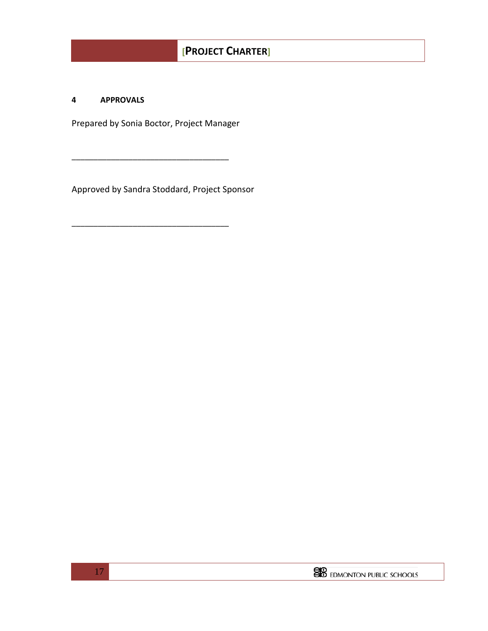#### **4 APPROVALS**

Prepared by Sonia Boctor, Project Manager

\_\_\_\_\_\_\_\_\_\_\_\_\_\_\_\_\_\_\_\_\_\_\_\_\_\_\_\_\_\_\_\_\_\_\_\_

\_\_\_\_\_\_\_\_\_\_\_\_\_\_\_\_\_\_\_\_\_\_\_\_\_\_\_\_\_\_\_\_\_\_\_\_

Approved by Sandra Stoddard, Project Sponsor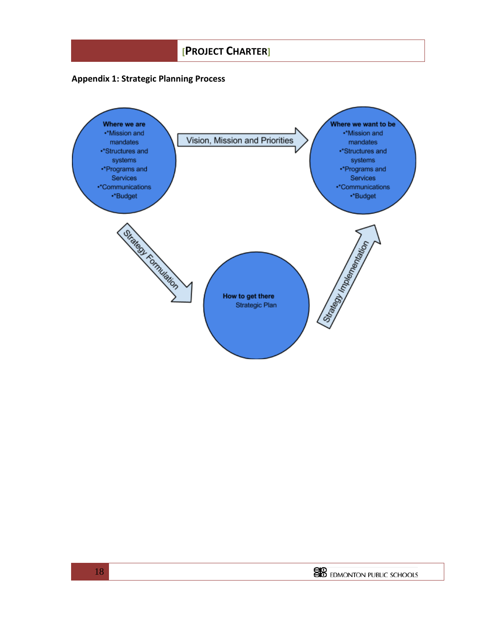### **Appendix 1: Strategic Planning Process**

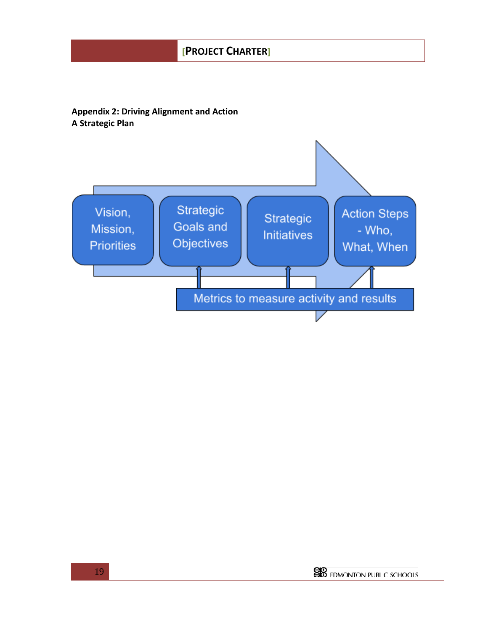## **Appendix 2: Driving Alignment and Action A Strategic Plan**

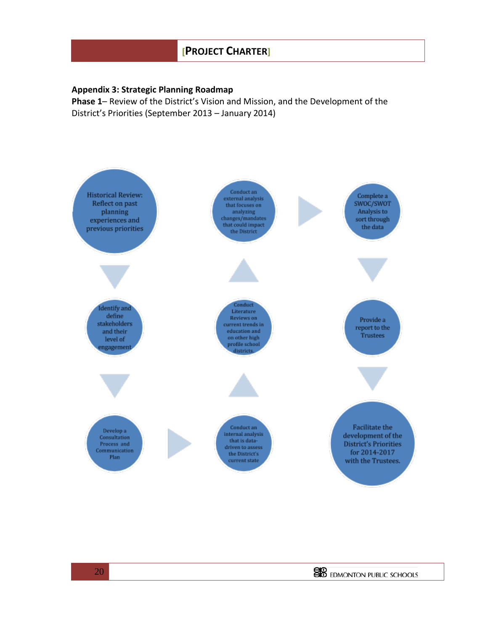#### **Appendix 3: Strategic Planning Roadmap**

**Phase 1**– Review of the District's Vision and Mission, and the Development of the District's Priorities (September 2013 – January 2014)

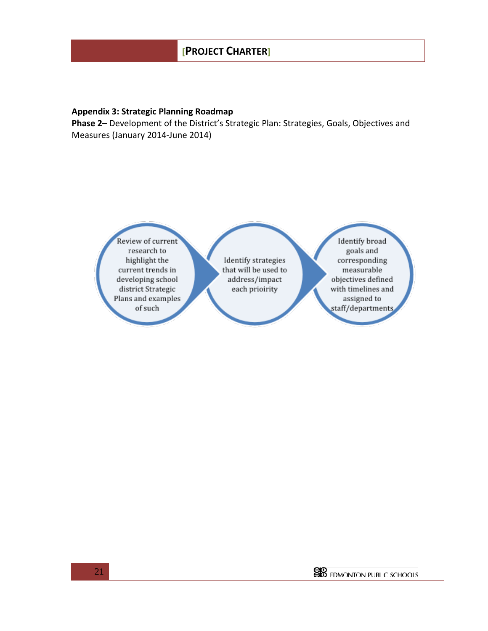#### **Appendix 3: Strategic Planning Roadmap**

**Phase 2**– Development of the District's Strategic Plan: Strategies, Goals, Objectives and Measures (January 2014-June 2014)

> Review of current research to highlight the current trends in developing school district Strategic Plans and examples of such

Identify strategies that will be used to address/impact each prioirity

Identify broad goals and corresponding measurable objectives defined with timelines and assigned to staff/departments

**SO** EDMONTON PUBLIC SCHOOLS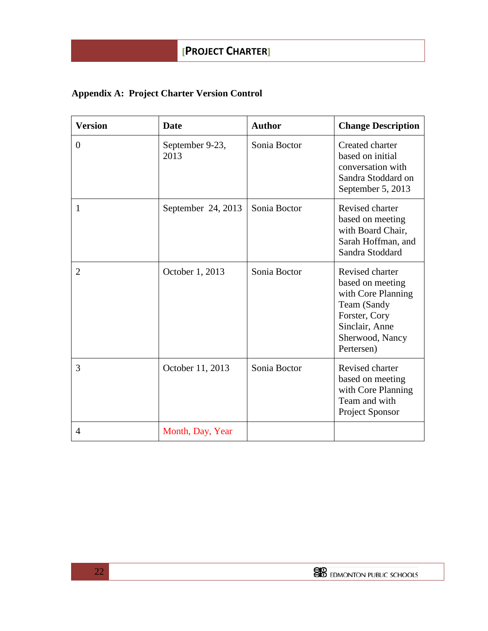# **Appendix A: Project Charter Version Control**

| <b>Version</b> | <b>Date</b>             | <b>Author</b> | <b>Change Description</b>                                                                                                                    |
|----------------|-------------------------|---------------|----------------------------------------------------------------------------------------------------------------------------------------------|
| $\mathbf{0}$   | September 9-23,<br>2013 | Sonia Boctor  | Created charter<br>based on initial<br>conversation with<br>Sandra Stoddard on<br>September 5, 2013                                          |
| 1              | September 24, 2013      | Sonia Boctor  | Revised charter<br>based on meeting<br>with Board Chair,<br>Sarah Hoffman, and<br>Sandra Stoddard                                            |
| $\overline{2}$ | October 1, 2013         | Sonia Boctor  | Revised charter<br>based on meeting<br>with Core Planning<br>Team (Sandy<br>Forster, Cory<br>Sinclair, Anne<br>Sherwood, Nancy<br>Pertersen) |
| 3              | October 11, 2013        | Sonia Boctor  | Revised charter<br>based on meeting<br>with Core Planning<br>Team and with<br><b>Project Sponsor</b>                                         |
| $\overline{4}$ | Month, Day, Year        |               |                                                                                                                                              |